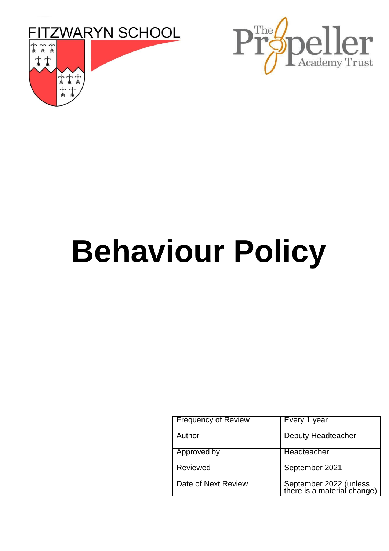



# **Behaviour Policy**

| <b>Frequency of Review</b> | Every 1 year                                          |
|----------------------------|-------------------------------------------------------|
| Author                     | Deputy Headteacher                                    |
| Approved by                | <b>Headteacher</b>                                    |
| Reviewed                   | September 2021                                        |
| Date of Next Review        | September 2022 (unless<br>there is a material change) |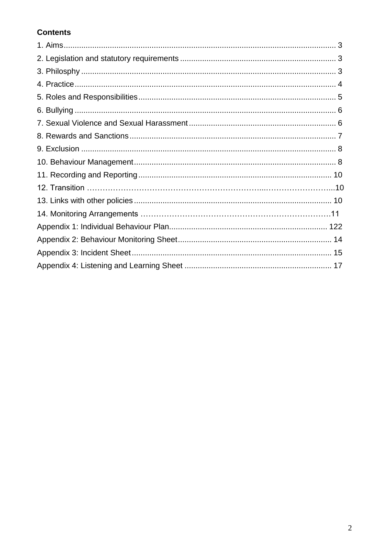# **Contents**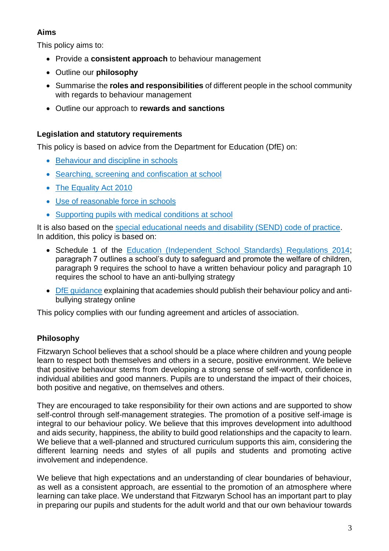# **Aims**

This policy aims to:

- Provide a **consistent approach** to behaviour management
- Outline our **philosophy**
- Summarise the **roles and responsibilities** of different people in the school community with regards to behaviour management
- Outline our approach to **rewards and sanctions**

# **Legislation and statutory requirements**

This policy is based on advice from the Department for Education (DfE) on:

- [Behaviour and discipline in schools](https://www.gov.uk/government/publications/behaviour-and-discipline-in-schools)
- [Searching, screening and confiscation at school](https://www.gov.uk/government/publications/searching-screening-and-confiscation)
- [The Equality Act 2010](https://www.gov.uk/government/publications/equality-act-2010-advice-for-schools)
- [Use of reasonable force in schools](https://www.gov.uk/government/publications/use-of-reasonable-force-in-schools)
- [Supporting pupils with medical conditions at school](https://www.gov.uk/government/publications/supporting-pupils-at-school-with-medical-conditions--3)

It is also based on the [special educational needs and disability \(SEND\) code of practice.](https://www.gov.uk/government/publications/send-code-of-practice-0-to-25) In addition, this policy is based on:

- Schedule 1 of the [Education \(Independent School Standards\) Regulations 2014;](http://www.legislation.gov.uk/uksi/2014/3283/schedule/made) paragraph 7 outlines a school's duty to safeguard and promote the welfare of children, paragraph 9 requires the school to have a written behaviour policy and paragraph 10 requires the school to have an anti-bullying strategy
- [DfE guidance](https://www.gov.uk/guidance/what-academies-free-schools-and-colleges-should-publish-online) explaining that academies should publish their behaviour policy and antibullying strategy online

This policy complies with our funding agreement and articles of association.

# **Philosophy**

Fitzwaryn School believes that a school should be a place where children and young people learn to respect both themselves and others in a secure, positive environment. We believe that positive behaviour stems from developing a strong sense of self-worth, confidence in individual abilities and good manners. Pupils are to understand the impact of their choices, both positive and negative, on themselves and others.

They are encouraged to take responsibility for their own actions and are supported to show self-control through self-management strategies. The promotion of a positive self-image is integral to our behaviour policy. We believe that this improves development into adulthood and aids security, happiness, the ability to build good relationships and the capacity to learn. We believe that a well-planned and structured curriculum supports this aim, considering the different learning needs and styles of all pupils and students and promoting active involvement and independence.

We believe that high expectations and an understanding of clear boundaries of behaviour, as well as a consistent approach, are essential to the promotion of an atmosphere where learning can take place. We understand that Fitzwaryn School has an important part to play in preparing our pupils and students for the adult world and that our own behaviour towards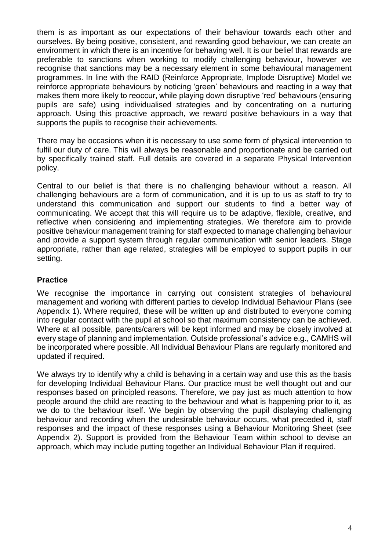them is as important as our expectations of their behaviour towards each other and ourselves. By being positive, consistent, and rewarding good behaviour, we can create an environment in which there is an incentive for behaving well. It is our belief that rewards are preferable to sanctions when working to modify challenging behaviour, however we recognise that sanctions may be a necessary element in some behavioural management programmes. In line with the RAID (Reinforce Appropriate, Implode Disruptive) Model we reinforce appropriate behaviours by noticing 'green' behaviours and reacting in a way that makes them more likely to reoccur, while playing down disruptive 'red' behaviours (ensuring pupils are safe) using individualised strategies and by concentrating on a nurturing approach. Using this proactive approach, we reward positive behaviours in a way that supports the pupils to recognise their achievements.

There may be occasions when it is necessary to use some form of physical intervention to fulfil our duty of care. This will always be reasonable and proportionate and be carried out by specifically trained staff. Full details are covered in a separate Physical Intervention policy.

Central to our belief is that there is no challenging behaviour without a reason. All challenging behaviours are a form of communication, and it is up to us as staff to try to understand this communication and support our students to find a better way of communicating. We accept that this will require us to be adaptive, flexible, creative, and reflective when considering and implementing strategies. We therefore aim to provide positive behaviour management training for staff expected to manage challenging behaviour and provide a support system through regular communication with senior leaders. Stage appropriate, rather than age related, strategies will be employed to support pupils in our setting.

#### **Practice**

We recognise the importance in carrying out consistent strategies of behavioural management and working with different parties to develop Individual Behaviour Plans (see Appendix 1). Where required, these will be written up and distributed to everyone coming into regular contact with the pupil at school so that maximum consistency can be achieved. Where at all possible, parents/carers will be kept informed and may be closely involved at every stage of planning and implementation. Outside professional's advice e.g., CAMHS will be incorporated where possible. All Individual Behaviour Plans are regularly monitored and updated if required.

We always try to identify why a child is behaving in a certain way and use this as the basis for developing Individual Behaviour Plans. Our practice must be well thought out and our responses based on principled reasons. Therefore, we pay just as much attention to how people around the child are reacting to the behaviour and what is happening prior to it, as we do to the behaviour itself. We begin by observing the pupil displaying challenging behaviour and recording when the undesirable behaviour occurs, what preceded it, staff responses and the impact of these responses using a Behaviour Monitoring Sheet (see Appendix 2). Support is provided from the Behaviour Team within school to devise an approach, which may include putting together an Individual Behaviour Plan if required.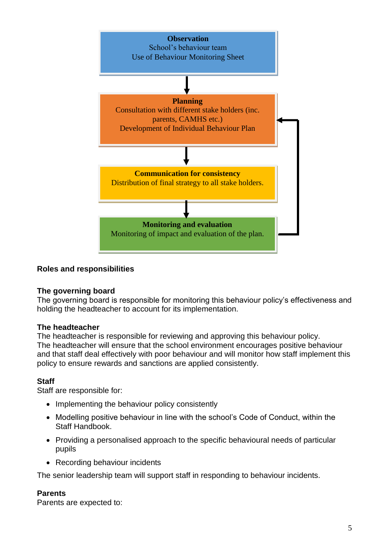

#### **Roles and responsibilities**

#### **The governing board**

The governing board is responsible for monitoring this behaviour policy's effectiveness and holding the headteacher to account for its implementation.

#### **The headteacher**

The headteacher is responsible for reviewing and approving this behaviour policy. The headteacher will ensure that the school environment encourages positive behaviour and that staff deal effectively with poor behaviour and will monitor how staff implement this policy to ensure rewards and sanctions are applied consistently.

#### **Staff**

Staff are responsible for:

- Implementing the behaviour policy consistently
- Modelling positive behaviour in line with the school's Code of Conduct, within the Staff Handbook.
- Providing a personalised approach to the specific behavioural needs of particular pupils
- Recording behaviour incidents

The senior leadership team will support staff in responding to behaviour incidents.

#### **Parents**

Parents are expected to: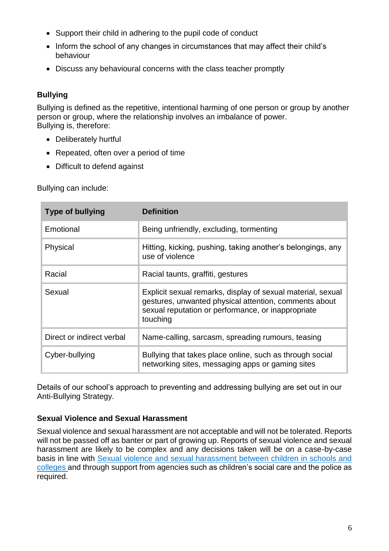- Support their child in adhering to the pupil code of conduct
- Inform the school of any changes in circumstances that may affect their child's behaviour
- Discuss any behavioural concerns with the class teacher promptly

# **Bullying**

Bullying is defined as the repetitive, intentional harming of one person or group by another person or group, where the relationship involves an imbalance of power. Bullying is, therefore:

- Deliberately hurtful
- Repeated, often over a period of time
- Difficult to defend against

Bullying can include:

| <b>Type of bullying</b>   | <b>Definition</b>                                                                                                                                                                      |
|---------------------------|----------------------------------------------------------------------------------------------------------------------------------------------------------------------------------------|
| Emotional                 | Being unfriendly, excluding, tormenting                                                                                                                                                |
| Physical                  | Hitting, kicking, pushing, taking another's belongings, any<br>use of violence                                                                                                         |
| Racial                    | Racial taunts, graffiti, gestures                                                                                                                                                      |
| Sexual                    | Explicit sexual remarks, display of sexual material, sexual<br>gestures, unwanted physical attention, comments about<br>sexual reputation or performance, or inappropriate<br>touching |
| Direct or indirect verbal | Name-calling, sarcasm, spreading rumours, teasing                                                                                                                                      |
| Cyber-bullying            | Bullying that takes place online, such as through social<br>networking sites, messaging apps or gaming sites                                                                           |

Details of our school's approach to preventing and addressing bullying are set out in our Anti-Bullying Strategy.

# **Sexual Violence and Sexual Harassment**

Sexual violence and sexual harassment are not acceptable and will not be tolerated. Reports will not be passed off as banter or part of growing up. Reports of sexual violence and sexual harassment are likely to be complex and any decisions taken will be on a case-by-case basis in line with [Sexual violence and sexual harassment between children in schools and](https://www.gov.uk/government/publications/sexual-violence-and-sexual-harassment-between-children-in-schools-and-colleges)  [colleges a](https://www.gov.uk/government/publications/sexual-violence-and-sexual-harassment-between-children-in-schools-and-colleges)nd through support from agencies such as children's social care and the police as required.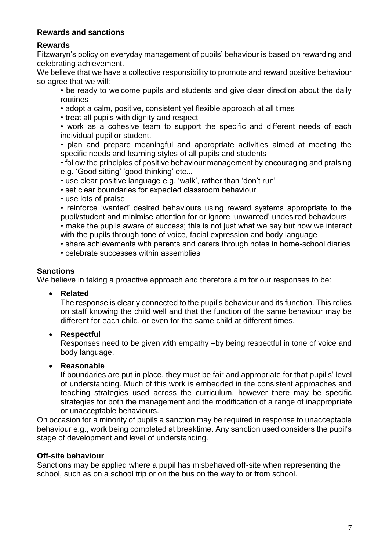#### **Rewards and sanctions**

# **Rewards**

Fitzwaryn's policy on everyday management of pupils' behaviour is based on rewarding and celebrating achievement.

We believe that we have a collective responsibility to promote and reward positive behaviour so agree that we will:

- be ready to welcome pupils and students and give clear direction about the daily routines
- adopt a calm, positive, consistent yet flexible approach at all times
- treat all pupils with dignity and respect
- work as a cohesive team to support the specific and different needs of each individual pupil or student.
- plan and prepare meaningful and appropriate activities aimed at meeting the specific needs and learning styles of all pupils and students
- follow the principles of positive behaviour management by encouraging and praising e.g. 'Good sitting' 'good thinking' etc...
- use clear positive language e.g. 'walk', rather than 'don't run'
- set clear boundaries for expected classroom behaviour
- use lots of praise
- reinforce 'wanted' desired behaviours using reward systems appropriate to the pupil/student and minimise attention for or ignore 'unwanted' undesired behaviours

• make the pupils aware of success; this is not just what we say but how we interact with the pupils through tone of voice, facial expression and body language

- share achievements with parents and carers through notes in home-school diaries
- celebrate successes within assemblies

### **Sanctions**

We believe in taking a proactive approach and therefore aim for our responses to be:

**Related**

The response is clearly connected to the pupil's behaviour and its function. This relies on staff knowing the child well and that the function of the same behaviour may be different for each child, or even for the same child at different times.

**Respectful**

Responses need to be given with empathy –by being respectful in tone of voice and body language.

#### **Reasonable**

If boundaries are put in place, they must be fair and appropriate for that pupil's' level of understanding. Much of this work is embedded in the consistent approaches and teaching strategies used across the curriculum, however there may be specific strategies for both the management and the modification of a range of inappropriate or unacceptable behaviours.

On occasion for a minority of pupils a sanction may be required in response to unacceptable behaviour e.g., work being completed at breaktime. Any sanction used considers the pupil's stage of development and level of understanding.

#### **Off-site behaviour**

Sanctions may be applied where a pupil has misbehaved off-site when representing the school, such as on a school trip or on the bus on the way to or from school.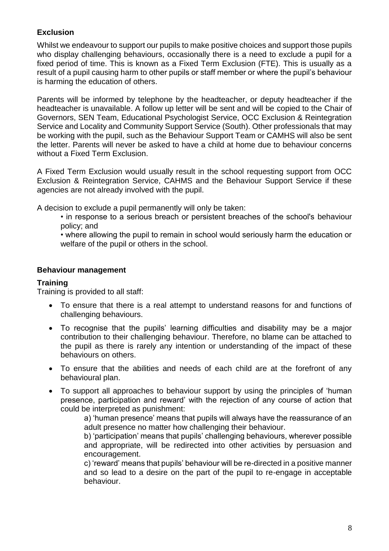# **Exclusion**

Whilst we endeavour to support our pupils to make positive choices and support those pupils who display challenging behaviours, occasionally there is a need to exclude a pupil for a fixed period of time. This is known as a Fixed Term Exclusion (FTE). This is usually as a result of a pupil causing harm to other pupils or staff member or where the pupil's behaviour is harming the education of others.

Parents will be informed by telephone by the headteacher, or deputy headteacher if the headteacher is unavailable. A follow up letter will be sent and will be copied to the Chair of Governors, SEN Team, Educational Psychologist Service, OCC Exclusion & Reintegration Service and Locality and Community Support Service (South). Other professionals that may be working with the pupil, such as the Behaviour Support Team or CAMHS will also be sent the letter. Parents will never be asked to have a child at home due to behaviour concerns without a Fixed Term Exclusion.

A Fixed Term Exclusion would usually result in the school requesting support from OCC Exclusion & Reintegration Service, CAHMS and the Behaviour Support Service if these agencies are not already involved with the pupil.

A decision to exclude a pupil permanently will only be taken:

• in response to a serious breach or persistent breaches of the school's behaviour policy; and

• where allowing the pupil to remain in school would seriously harm the education or welfare of the pupil or others in the school.

#### **Behaviour management**

#### **Training**

Training is provided to all staff:

- To ensure that there is a real attempt to understand reasons for and functions of challenging behaviours.
- To recognise that the pupils' learning difficulties and disability may be a major contribution to their challenging behaviour. Therefore, no blame can be attached to the pupil as there is rarely any intention or understanding of the impact of these behaviours on others.
- To ensure that the abilities and needs of each child are at the forefront of any behavioural plan.
- To support all approaches to behaviour support by using the principles of 'human presence, participation and reward' with the rejection of any course of action that could be interpreted as punishment:

a) 'human presence' means that pupils will always have the reassurance of an adult presence no matter how challenging their behaviour.

b) 'participation' means that pupils' challenging behaviours, wherever possible and appropriate, will be redirected into other activities by persuasion and encouragement.

c) 'reward' means that pupils' behaviour will be re-directed in a positive manner and so lead to a desire on the part of the pupil to re-engage in acceptable behaviour.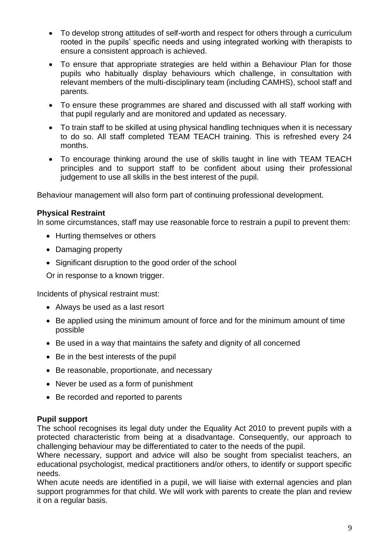- To develop strong attitudes of self-worth and respect for others through a curriculum rooted in the pupils' specific needs and using integrated working with therapists to ensure a consistent approach is achieved.
- To ensure that appropriate strategies are held within a Behaviour Plan for those pupils who habitually display behaviours which challenge, in consultation with relevant members of the multi-disciplinary team (including CAMHS), school staff and parents.
- To ensure these programmes are shared and discussed with all staff working with that pupil regularly and are monitored and updated as necessary.
- To train staff to be skilled at using physical handling techniques when it is necessary to do so. All staff completed TEAM TEACH training. This is refreshed every 24 months.
- To encourage thinking around the use of skills taught in line with TEAM TEACH principles and to support staff to be confident about using their professional judgement to use all skills in the best interest of the pupil.

Behaviour management will also form part of continuing professional development.

#### **Physical Restraint**

In some circumstances, staff may use reasonable force to restrain a pupil to prevent them:

- Hurting themselves or others
- Damaging property
- Significant disruption to the good order of the school

Or in response to a known trigger.

Incidents of physical restraint must:

- Always be used as a last resort
- Be applied using the minimum amount of force and for the minimum amount of time possible
- Be used in a way that maintains the safety and dignity of all concerned
- Be in the best interests of the pupil
- Be reasonable, proportionate, and necessary
- Never be used as a form of punishment
- Be recorded and reported to parents

#### **Pupil support**

The school recognises its legal duty under the Equality Act 2010 to prevent pupils with a protected characteristic from being at a disadvantage. Consequently, our approach to challenging behaviour may be differentiated to cater to the needs of the pupil.

Where necessary, support and advice will also be sought from specialist teachers, an educational psychologist, medical practitioners and/or others, to identify or support specific needs.

When acute needs are identified in a pupil, we will liaise with external agencies and plan support programmes for that child. We will work with parents to create the plan and review it on a regular basis.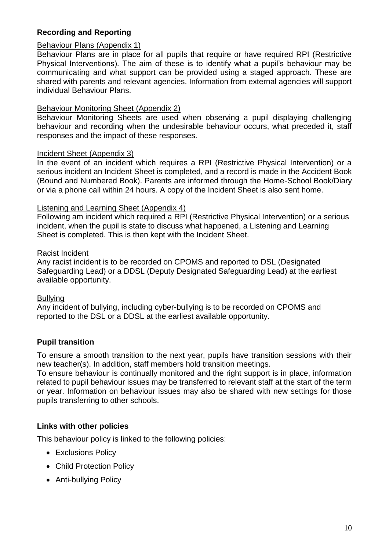#### **Recording and Reporting**

#### Behaviour Plans (Appendix 1)

Behaviour Plans are in place for all pupils that require or have required RPI (Restrictive Physical Interventions). The aim of these is to identify what a pupil's behaviour may be communicating and what support can be provided using a staged approach. These are shared with parents and relevant agencies. Information from external agencies will support individual Behaviour Plans.

#### Behaviour Monitoring Sheet (Appendix 2)

Behaviour Monitoring Sheets are used when observing a pupil displaying challenging behaviour and recording when the undesirable behaviour occurs, what preceded it, staff responses and the impact of these responses.

#### Incident Sheet (Appendix 3)

In the event of an incident which requires a RPI (Restrictive Physical Intervention) or a serious incident an Incident Sheet is completed, and a record is made in the Accident Book (Bound and Numbered Book). Parents are informed through the Home-School Book/Diary or via a phone call within 24 hours. A copy of the Incident Sheet is also sent home.

#### Listening and Learning Sheet (Appendix 4)

Following am incident which required a RPI (Restrictive Physical Intervention) or a serious incident, when the pupil is state to discuss what happened, a Listening and Learning Sheet is completed. This is then kept with the Incident Sheet.

#### Racist Incident

Any racist incident is to be recorded on CPOMS and reported to DSL (Designated Safeguarding Lead) or a DDSL (Deputy Designated Safeguarding Lead) at the earliest available opportunity.

#### Bullying

Any incident of bullying, including cyber-bullying is to be recorded on CPOMS and reported to the DSL or a DDSL at the earliest available opportunity.

#### **Pupil transition**

To ensure a smooth transition to the next year, pupils have transition sessions with their new teacher(s). In addition, staff members hold transition meetings.

To ensure behaviour is continually monitored and the right support is in place, information related to pupil behaviour issues may be transferred to relevant staff at the start of the term or year. Information on behaviour issues may also be shared with new settings for those pupils transferring to other schools.

#### **Links with other policies**

This behaviour policy is linked to the following policies:

- Exclusions Policy
- Child Protection Policy
- Anti-bullying Policy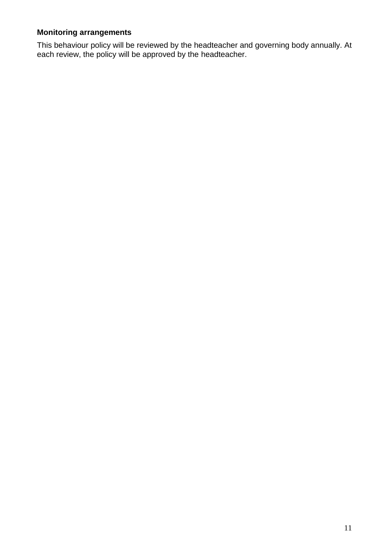# **Monitoring arrangements**

This behaviour policy will be reviewed by the headteacher and governing body annually. At each review, the policy will be approved by the headteacher.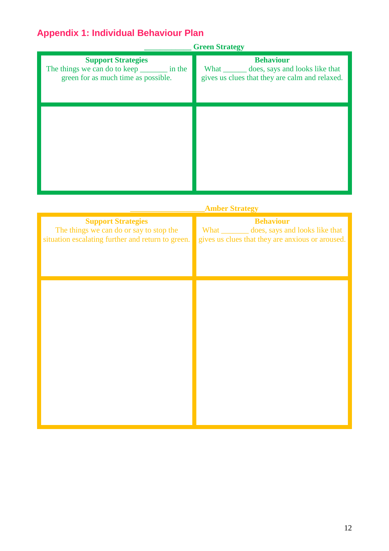# **Appendix 1: Individual Behaviour Plan**

|                                                                                                                   | <b>Green Strategy</b>                                                                                               |
|-------------------------------------------------------------------------------------------------------------------|---------------------------------------------------------------------------------------------------------------------|
| <b>Support Strategies</b><br>The things we can do to keep _________ in the<br>green for as much time as possible. | <b>Behaviour</b><br>What _________ does, says and looks like that<br>gives us clues that they are calm and relaxed. |
|                                                                                                                   |                                                                                                                     |

| <b>Amber Strategy</b>                                                                                                     |                                                                                                                       |  |  |  |
|---------------------------------------------------------------------------------------------------------------------------|-----------------------------------------------------------------------------------------------------------------------|--|--|--|
| <b>Support Strategies</b><br>The things we can do or say to stop the<br>situation escalating further and return to green. | <b>Behaviour</b><br>What _________ does, says and looks like that<br>gives us clues that they are anxious or aroused. |  |  |  |
|                                                                                                                           |                                                                                                                       |  |  |  |
|                                                                                                                           |                                                                                                                       |  |  |  |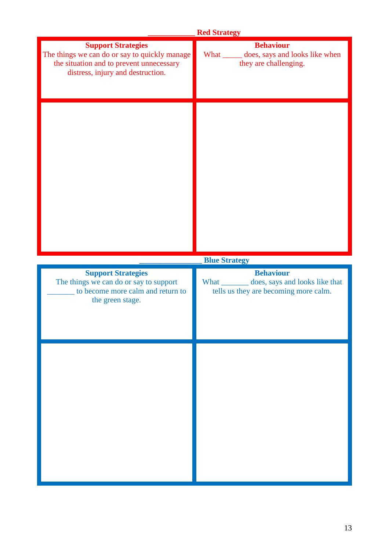|                                                                                                                                                             | <b>Red Strategy</b>                                                                                        |
|-------------------------------------------------------------------------------------------------------------------------------------------------------------|------------------------------------------------------------------------------------------------------------|
| <b>Support Strategies</b><br>The things we can do or say to quickly manage<br>the situation and to prevent unnecessary<br>distress, injury and destruction. | <b>Behaviour</b><br>What _______ does, says and looks like when<br>they are challenging.                   |
|                                                                                                                                                             |                                                                                                            |
|                                                                                                                                                             | <b>Blue Strategy</b>                                                                                       |
| <b>Support Strategies</b><br>The things we can do or say to support<br>to become more calm and return to<br>the green stage.                                | <b>Behaviour</b><br>What _________ does, says and looks like that<br>tells us they are becoming more calm. |
|                                                                                                                                                             |                                                                                                            |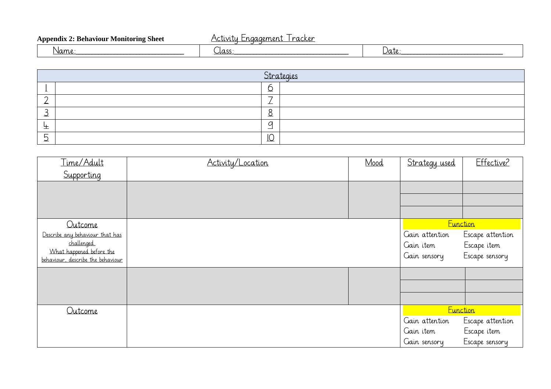| n.<br>. .<br><b>Monitoring Sheet</b><br>Appendiy<br>Behaviour | racker<br>aemen.<br>$\sim$ |         |
|---------------------------------------------------------------|----------------------------|---------|
| Name                                                          | $\sim$                     | باللالا |

|             | Strategies |  |  |  |  |
|-------------|------------|--|--|--|--|
|             |            |  |  |  |  |
|             | -<br>——    |  |  |  |  |
|             |            |  |  |  |  |
|             |            |  |  |  |  |
| $\check{ }$ | י          |  |  |  |  |

| Time/Adult                              | Activity/Location | Mood | Strategy used   | Effective?       |
|-----------------------------------------|-------------------|------|-----------------|------------------|
| Supporting                              |                   |      |                 |                  |
|                                         |                   |      |                 |                  |
|                                         |                   |      |                 |                  |
|                                         |                   |      |                 |                  |
| Outcome                                 |                   |      | <b>Eunction</b> |                  |
| Describe any behaviour that has         |                   |      | Gain attention  | Escape attention |
| challenged.<br>What happened before the |                   |      | Gain item       | Escape item      |
| behaviour, describe the behaviour       |                   |      | Gain sensory    | Escape sensory   |
|                                         |                   |      |                 |                  |
|                                         |                   |      |                 |                  |
|                                         |                   |      |                 |                  |
| Outcome                                 |                   |      | <b>Function</b> |                  |
|                                         |                   |      | Gain attention  | Escape attention |
|                                         |                   |      | Gain item       | Escape item      |
|                                         |                   |      | Gain sensory    | Escape sensory   |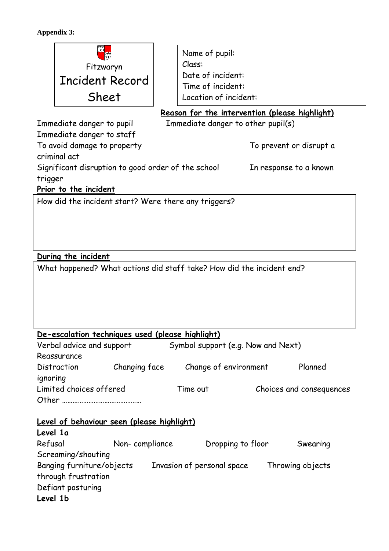#### **Appendix 3:**



Name of pupil: Class: Date of incident: Time of incident: Location of incident:

Reason for the intervention (please highlight)

Immediate danger to pupil Immediate danger to other pupil(s)

Immediate danger to staff To avoid damage to property To avoid damage to property criminal act Significant disruption to good order of the school In response to a known trigger

**Prior to the incident**

How did the incident start? Were there any triggers?

# **During the incident**

**Level 1a**

What happened? What actions did staff take? How did the incident end?

#### **De-escalation techniques used (please highlight)**

| Verbal advice and support |               | Symbol support (e.g. Now and Next) |                          |
|---------------------------|---------------|------------------------------------|--------------------------|
| Reassurance               |               |                                    |                          |
| Distraction               | Changing face | Change of environment              | Planned                  |
| ignoring                  |               |                                    |                          |
| Limited choices offered   |               | Time out                           | Choices and consequences |
| Other                     |               |                                    |                          |

#### **Level of behaviour seen (please highlight)**

| LEVEI 14                  |                |                            |                   |                  |
|---------------------------|----------------|----------------------------|-------------------|------------------|
| Refusal                   | Non-compliance |                            | Dropping to floor | Swearing         |
| Screaming/shouting        |                |                            |                   |                  |
| Banging furniture/objects |                | Invasion of personal space |                   | Throwing objects |
| through frustration       |                |                            |                   |                  |
| Defiant posturing         |                |                            |                   |                  |
| Level 1b                  |                |                            |                   |                  |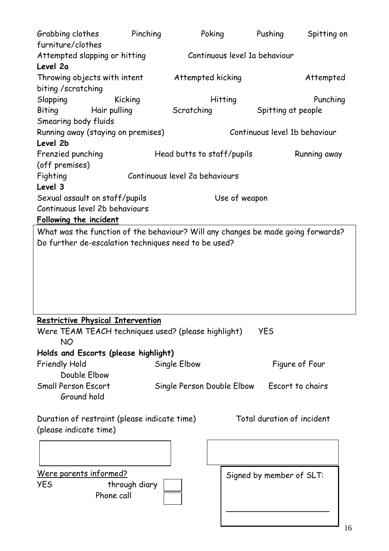|                                | Grabbing clothes | Pinching                                                                         |                                             | Poking        | Pushing                       | Spitting on    |
|--------------------------------|------------------|----------------------------------------------------------------------------------|---------------------------------------------|---------------|-------------------------------|----------------|
| furniture/clothes              |                  |                                                                                  |                                             |               |                               |                |
| Attempted slapping or hitting  |                  |                                                                                  |                                             |               | Continuous level 1a behaviour |                |
| Level 2a                       |                  |                                                                                  |                                             |               |                               |                |
| Throwing objects with intent   |                  |                                                                                  | Attempted kicking                           |               |                               | Attempted      |
| biting /scratching             |                  |                                                                                  |                                             |               |                               |                |
| Slapping                       |                  | Kicking                                                                          |                                             | Hitting       |                               | Punching       |
| Biting                         |                  | Hair pulling                                                                     | Scratching                                  |               | Spitting at people            |                |
| Smearing body fluids           |                  |                                                                                  |                                             |               |                               |                |
|                                |                  | Running away (staying on premises)                                               |                                             |               | Continuous level 1b behaviour |                |
| Level 2b                       |                  |                                                                                  |                                             |               |                               |                |
| Frenzied punching              |                  |                                                                                  | Head butts to staff/pupils                  |               |                               | Running away   |
| (off premises)                 |                  |                                                                                  |                                             |               |                               |                |
| Fighting                       |                  |                                                                                  | Continuous level 2a behaviours              |               |                               |                |
| Level 3                        |                  |                                                                                  |                                             |               |                               |                |
| Sexual assault on staff/pupils |                  |                                                                                  |                                             | Use of weapon |                               |                |
| Continuous level 2b behaviours |                  |                                                                                  |                                             |               |                               |                |
| <b>Following the incident</b>  |                  |                                                                                  |                                             |               |                               |                |
|                                |                  | What was the function of the behaviour? Will any changes be made going forwards? |                                             |               |                               |                |
|                                |                  | Do further de-escalation techniques need to be used?                             |                                             |               |                               |                |
|                                |                  |                                                                                  |                                             |               |                               |                |
|                                |                  |                                                                                  |                                             |               |                               |                |
|                                |                  |                                                                                  |                                             |               |                               |                |
|                                |                  |                                                                                  |                                             |               |                               |                |
|                                |                  |                                                                                  |                                             |               |                               |                |
|                                |                  |                                                                                  |                                             |               |                               |                |
|                                |                  |                                                                                  |                                             |               |                               |                |
|                                |                  | <b>Restrictive Physical Intervention</b>                                         |                                             |               |                               |                |
|                                |                  | Were TEAM TEACH techniques used? (please highlight)                              |                                             |               | <b>YES</b>                    |                |
| <b>NO</b>                      |                  |                                                                                  |                                             |               |                               |                |
|                                |                  | Holds and Escorts (please highlight)                                             |                                             |               |                               |                |
| <b>Friendly Hold</b>           |                  |                                                                                  | Single Elbow                                |               |                               | Figure of Four |
| Double Elbow                   |                  |                                                                                  |                                             |               |                               |                |
| <b>Small Person Escort</b>     |                  |                                                                                  |                                             |               |                               |                |
| Ground hold                    |                  |                                                                                  | Single Person Double Elbow Escort to chairs |               |                               |                |
|                                |                  |                                                                                  |                                             |               |                               |                |
|                                |                  |                                                                                  |                                             |               | Total duration of incident    |                |
|                                |                  | Duration of restraint (please indicate time)                                     |                                             |               |                               |                |
| (please indicate time)         |                  |                                                                                  |                                             |               |                               |                |
|                                |                  |                                                                                  |                                             |               |                               |                |
|                                |                  |                                                                                  |                                             |               |                               |                |
|                                |                  |                                                                                  |                                             |               |                               |                |
| <u>Were parents informed?</u>  |                  |                                                                                  |                                             |               | Signed by member of SLT:      |                |
| YES                            |                  | through diary<br>Phone call                                                      |                                             |               |                               |                |
|                                |                  |                                                                                  |                                             |               |                               |                |
|                                |                  |                                                                                  |                                             |               |                               |                |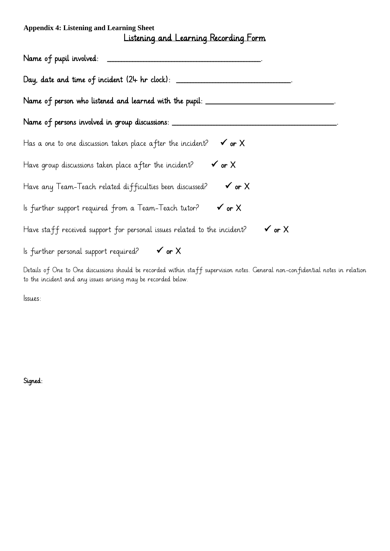# **Appendix 4: Listening and Learning Sheet**  Listening and Learning Recording Form

| Name of pupil involved:                                                                                  |
|----------------------------------------------------------------------------------------------------------|
| Day, date and time of incident (24 hr clock): ______                                                     |
| Name of person who listened and learned with the pupil: ____________                                     |
| Name of persons involved in group discussions: _______                                                   |
| Has a one to one discussion taken place after the incident?<br>$\checkmark$ or $\checkmark$              |
| $\checkmark$ or $X$<br>Have group discussions taken place after the incident?                            |
| $\checkmark$ or $\checkmark$<br>Have any Team-Teach related difficulties been discussed?                 |
| $\checkmark$ or $\checkmark$<br>ls further support required from a Team-Teach tutor?                     |
| $\checkmark$ or $\checkmark$<br>Have staff received support for personal issues related to the incident? |
| $\checkmark$ or $\checkmark$<br>Is further personal support required?                                    |

Details of One to One discussions should be recorded within staff supervision notes. General non-confidential notes in relation to the incident and any issues arising may be recorded below.

Issues:

Signed: